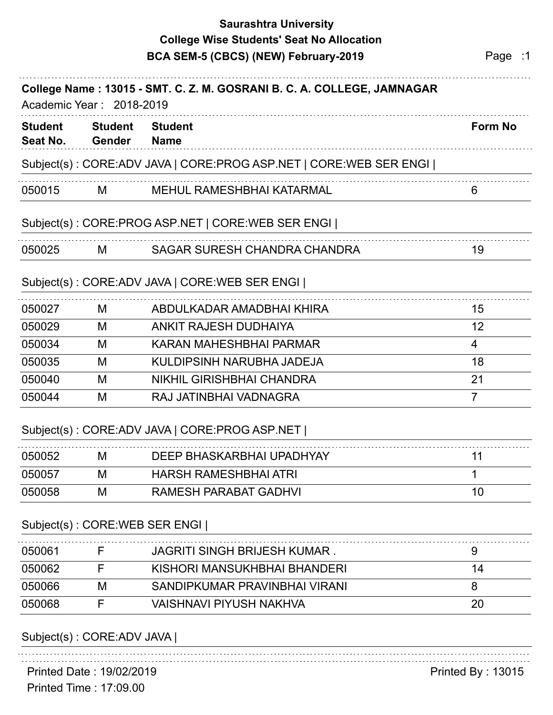## **Saurashtra University College Wise Students' Seat No Allocation**

|                                                                                                    |                                 | BCA SEM-5 (CBCS) (NEW) February-2019                              | Page :1        |  |  |
|----------------------------------------------------------------------------------------------------|---------------------------------|-------------------------------------------------------------------|----------------|--|--|
| College Name: 13015 - SMT. C. Z. M. GOSRANI B. C. A. COLLEGE, JAMNAGAR<br>Academic Year: 2018-2019 |                                 |                                                                   |                |  |  |
| <b>Student</b><br>Seat No.                                                                         | <b>Student</b><br><b>Gender</b> | <b>Student</b><br><b>Name</b>                                     | <b>Form No</b> |  |  |
|                                                                                                    |                                 | Subject(s): CORE:ADV JAVA   CORE:PROG ASP.NET   CORE:WEB SER ENGI |                |  |  |
| 050015                                                                                             | M                               | <b>MEHUL RAMESHBHAI KATARMAL</b>                                  | 6              |  |  |
|                                                                                                    |                                 | Subject(s): CORE:PROG ASP.NET   CORE:WEB SER ENGI                 |                |  |  |
| 050025                                                                                             | м                               | SAGAR SURESH CHANDRA CHANDRA                                      | 19             |  |  |
|                                                                                                    |                                 | Subject(s): CORE:ADV JAVA   CORE:WEB SER ENGI                     |                |  |  |
| 050027                                                                                             | м                               | ABDULKADAR AMADBHAI KHIRA                                         | 15             |  |  |
| 050029                                                                                             | M                               | <b>ANKIT RAJESH DUDHAIYA</b>                                      | 12             |  |  |
| 050034                                                                                             | M                               | KARAN MAHESHBHAI PARMAR                                           | $\overline{4}$ |  |  |
| 050035                                                                                             | M                               | KULDIPSINH NARUBHA JADEJA                                         | 18             |  |  |
| 050040                                                                                             | M                               | <b>NIKHIL GIRISHBHAI CHANDRA</b>                                  | 21             |  |  |
| 050044                                                                                             | M                               | RAJ JATINBHAI VADNAGRA                                            | $\overline{7}$ |  |  |
|                                                                                                    |                                 | Subject(s): CORE:ADV JAVA   CORE:PROG ASP.NET                     |                |  |  |
| 050052                                                                                             | M                               | DEEP BHASKARBHAI UPADHYAY                                         | 11             |  |  |
| 050057                                                                                             | M                               | <b>HARSH RAMESHBHAI ATRI</b>                                      | 1              |  |  |
| 050058                                                                                             | M                               | <b>RAMESH PARABAT GADHVI</b>                                      | 10             |  |  |
|                                                                                                    |                                 | Subject(s): CORE: WEB SER ENGI                                    |                |  |  |
| 050061                                                                                             | F                               | <b>JAGRITI SINGH BRIJESH KUMAR.</b>                               | 9              |  |  |
|                                                                                                    |                                 | KISHORI MANSUKHBHAI BHANDERI                                      | 14             |  |  |
| 050062                                                                                             | F                               |                                                                   |                |  |  |
| 050066                                                                                             | M                               | SANDIPKUMAR PRAVINBHAI VIRANI                                     | 8              |  |  |

## Subject(s) : CORE:ADV JAVA |

Printed Time : 17:09.00 Printed Date : 19/02/2019 **Printed By : 13015**